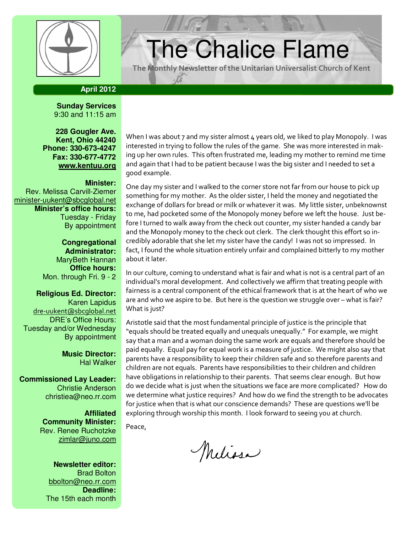

# $\left\vert \frac{\psi}{\psi}\right\vert$  The Chalice Flame

The Monthly Newsletter of the Unitarian Universalist Church of Kent

## **April 2012**

**Sunday Services**  9:30 and 11:15 am

**228 Gougler Ave. Kent, Ohio 44240 Phone: 330-673-4247 Fax: 330-677-4772 www.kentuu.org**

#### **Minister:**

Rev. Melissa Carvill-Ziemer minister-uukent@sbcglobal.net **Minister's office hours:**  Tuesday - Friday By appointment

> **Congregational Administrator:** MaryBeth Hannan **Office hours:** Mon. through Fri. 9 - 2

**Religious Ed. Director:**  Karen Lapidus dre-uukent@sbcglobal.net DRE's Office Hours: Tuesday and/or Wednesday By appointment

> **Music Director:**  Hal Walker

**Commissioned Lay Leader:**  Christie Anderson christiea@neo.rr.com

> **Affiliated Community Minister:**  Rev. Renee Ruchotzke zimlar@juno.com

**Newsletter editor:**  Brad Bolton bbolton@neo.rr.com **Deadline:**  The 15th each month

When I was about 7 and my sister almost 4 years old, we liked to play Monopoly. I was interested in trying to follow the rules of the game. She was more interested in making up her own rules. This often frustrated me, leading my mother to remind me time and again that I had to be patient because I was the big sister and I needed to set a good example.

One day my sister and I walked to the corner store not far from our house to pick up something for my mother. As the older sister, I held the money and negotiated the exchange of dollars for bread or milk or whatever it was. My little sister, unbeknownst to me, had pocketed some of the Monopoly money before we left the house. Just before I turned to walk away from the check out counter, my sister handed a candy bar and the Monopoly money to the check out clerk. The clerk thought this effort so incredibly adorable that she let my sister have the candy! I was not so impressed. In fact, I found the whole situation entirely unfair and complained bitterly to my mother about it later.

In our culture, coming to understand what is fair and what is not is a central part of an individual's moral development. And collectively we affirm that treating people with fairness is a central component of the ethical framework that is at the heart of who we are and who we aspire to be. But here is the question we struggle over – what is fair? What is just?

Aristotle said that the most fundamental principle of justice is the principle that "equals should be treated equally and unequals unequally." For example, we might say that a man and a woman doing the same work are equals and therefore should be paid equally. Equal pay for equal work is a measure of justice. We might also say that parents have a responsibility to keep their children safe and so therefore parents and children are not equals. Parents have responsibilities to their children and children have obligations in relationship to their parents. That seems clear enough. But how do we decide what is just when the situations we face are more complicated? How do we determine what justice requires? And how do we find the strength to be advocates for justice when that is what our conscience demands? These are questions we'll be exploring through worship this month. I look forward to seeing you at church.

Peace,

Melissa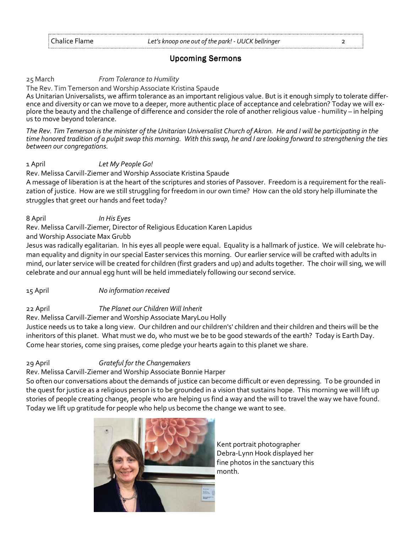# **Upcoming Sermons**

#### 25 March **From Tolerance to Humility**

The Rev. Tim Temerson and Worship Associate Kristina Spaude

As Unitarian Universalists, we affirm tolerance as an important religious value. But is it enough simply to tolerate difference and diversity or can we move to a deeper, more authentic place of acceptance and celebration? Today we will explore the beauty and the challenge of difference and consider the role of another religious value - humility – in helping us to move beyond tolerance.

The Rev. Tim Temerson is the minister of the Unitarian Universalist Church of Akron. He and I will be participating in the time honored tradition of a pulpit swap this morning. With this swap, he and I are looking forward to strengthening the ties between our congregations.

1 April Let My People Go!

Rev. Melissa Carvill-Ziemer and Worship Associate Kristina Spaude

A message of liberation is at the heart of the scriptures and stories of Passover. Freedom is a requirement for the realization of justice. How are we still struggling for freedom in our own time? How can the old story help illuminate the struggles that greet our hands and feet today?

8 April In His Eyes

Rev. Melissa Carvill-Ziemer, Director of Religious Education Karen Lapidus

and Worship Associate Max Grubb

Jesus was radically egalitarian. In his eyes all people were equal. Equality is a hallmark of justice. We will celebrate human equality and dignity in our special Easter services this morning. Our earlier service will be crafted with adults in mind, our later service will be created for children (first graders and up) and adults together. The choir will sing, we will celebrate and our annual egg hunt will be held immediately following our second service.

15 April No information received

# 22 April The Planet our Children Will Inherit

Rev. Melissa Carvill-Ziemer and Worship Associate MaryLou Holly

Justice needs us to take a long view. Our children and our children's' children and their children and theirs will be the inheritors of this planet. What must we do, who must we be to be good stewards of the earth? Today is Earth Day. Come hear stories, come sing praises, come pledge your hearts again to this planet we share.

# 29 April Grateful for the Changemakers

# Rev. Melissa Carvill-Ziemer and Worship Associate Bonnie Harper

So often our conversations about the demands of justice can become difficult or even depressing. To be grounded in the quest for justice as a religious person is to be grounded in a vision that sustains hope. This morning we will lift up stories of people creating change, people who are helping us find a way and the will to travel the way we have found. Today we lift up gratitude for people who help us become the change we want to see.



Kent portrait photographer Debra-Lynn Hook displayed her fine photos in the sanctuary this month.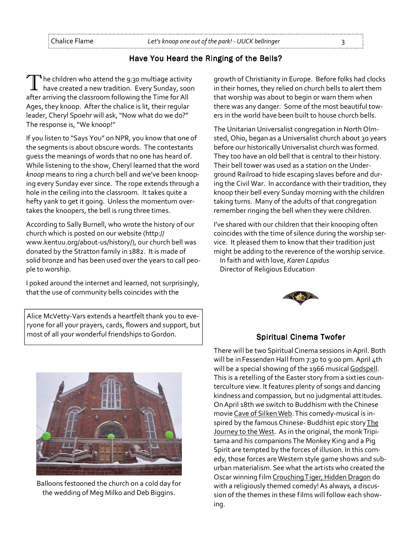# Have You Heard the Ringing of the Bells?

 $\P$  he children who attend the 9:30 multiage activity have created a new tradition. Every Sunday, soon after arriving the classroom following the Time for All Ages, they knoop. After the chalice is lit, their regular leader, Cheryl Spoehr will ask, "Now what do we do?" The response is, "We knoop!"

If you listen to "Says You" on NPR, you know that one of the segments is about obscure words. The contestants guess the meanings of words that no one has heard of. While listening to the show, Cheryl learned that the word knoop means to ring a church bell and we've been knooping every Sunday ever since. The rope extends through a hole in the ceiling into the classroom. It takes quite a hefty yank to get it going. Unless the momentum overtakes the knoopers, the bell is rung three times.

According to Sally Burnell, who wrote the history of our church which is posted on our website (http:// www.kentuu.org/about-us/history/), our church bell was donated by the Stratton family in 1882. It is made of solid bronze and has been used over the years to call people to worship.

I poked around the internet and learned, not surprisingly, that the use of community bells coincides with the

Alice McVetty-Vars extends a heartfelt thank you to everyone for all your prayers, cards, flowers and support, but most of all your wonderful friendships to Gordon. The Spiritual Cinema Twofer

Balloons festooned the church on a cold day for the wedding of Meg Milko and Deb Biggins.

growth of Christianity in Europe. Before folks had clocks in their homes, they relied on church bells to alert them that worship was about to begin or warn them when there was any danger. Some of the most beautiful towers in the world have been built to house church bells.

The Unitarian Universalist congregation in North Olmsted, Ohio, began as a Universalist church about 30 years before our historically Universalist church was formed. They too have an old bell that is central to their history. Their bell tower was used as a station on the Underground Railroad to hide escaping slaves before and during the Civil War. In accordance with their tradition, they knoop their bell every Sunday morning with the children taking turns. Many of the adults of that congregation remember ringing the bell when they were children.

I've shared with our children that their knooping often coincides with the time of silence during the worship service. It pleased them to know that their tradition just might be adding to the reverence of the worship service.

In faith and with love, Karen Lapidus Director of Religious Education



There will be two Spiritual Cinema sessions in April. Both will be in Fessenden Hall from 7:30 to 9:00 pm. April 4th will be a special showing of the 1966 musical Godspell. This is a retelling of the Easter story from a sixties counterculture view. It features plenty of songs and dancing kindness and compassion, but no judgmental attitudes. On April 18th we switch to Buddhism with the Chinese movie Cave of Silken Web. This comedy-musical is inspired by the famous Chinese- Buddhist epic story The Journey to the West. As in the original, the monk Tripitama and his companions The Monkey King and a Pig Spirit are tempted by the forces of illusion. In this comedy, those forces are Western style game shows and suburban materialism. See what the artists who created the Oscar winning film Crouching Tiger, Hidden Dragon do with a religiously themed comedy! As always, a discussion of the themes in these films will follow each showing.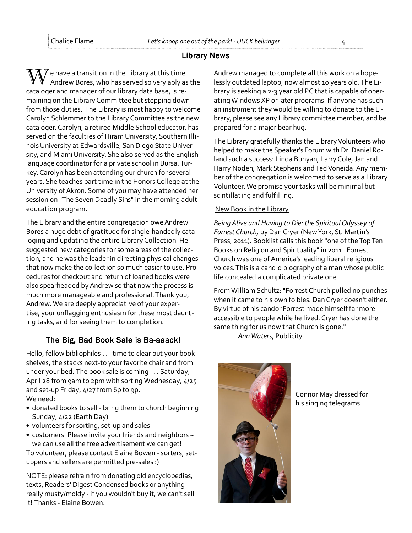#### Library News

 $\bigvee$  e have a transition in the Library at this time. Andrew Bores, who has served so very ably as the cataloger and manager of our library data base, is remaining on the Library Committee but stepping down from those duties. The Library is most happy to welcome Carolyn Schlemmer to the Library Committee as the new cataloger. Carolyn, a retired Middle School educator, has served on the faculties of Hiram University, Southern Illinois University at Edwardsville, San Diego State University, and Miami University. She also served as the English language coordinator for a private school in Bursa, Turkey. Carolyn has been attending our church for several years. She teaches part time in the Honors College at the University of Akron. Some of you may have attended her session on "The Seven Deadly Sins" in the morning adult education program.

The Library and the entire congregation owe Andrew Bores a huge debt of gratitude for single-handedly cataloging and updating the entire Library Collection. He suggested new categories for some areas of the collection, and he was the leader in directing physical changes that now make the collection so much easier to use. Procedures for checkout and return of loaned books were also spearheaded by Andrew so that now the process is much more manageable and professional. Thank you, Andrew. We are deeply appreciative of your expertise, your unflagging enthusiasm for these most daunting tasks, and for seeing them to completion.

#### The Big, Bad Book Sale is Ba-aaack!

Hello, fellow bibliophiles . . . time to clear out your bookshelves, the stacks next-to your favorite chair and from under your bed. The book sale is coming . . . Saturday, April 28 from 9am to 2pm with sorting Wednesday, 4/25 and set-up Friday, 4/27 from 6p to 9p. We need:

- donated books to sell bring them to church beginning Sunday, 4/22 (Earth Day)
- volunteers for sorting, set-up and sales
- customers! Please invite your friends and neighbors ~ we can use all the free advertisement we can get!

To volunteer, please contact Elaine Bowen - sorters, setuppers and sellers are permitted pre-sales :)

NOTE: please refrain from donating old encyclopedias, texts, Readers' Digest Condensed books or anything really musty/moldy - if you wouldn't buy it, we can't sell it! Thanks - Elaine Bowen.

Andrew managed to complete all this work on a hopelessly outdated laptop, now almost 10 years old. The Library is seeking a 2-3 year old PC that is capable of operating Windows XP or later programs. If anyone has such an instrument they would be willing to donate to the Library, please see any Library committee member, and be prepared for a major bear hug.

The Library gratefully thanks the Library Volunteers who helped to make the Speaker's Forum with Dr. Daniel Roland such a success: Linda Bunyan, Larry Cole, Jan and Harry Noden, Mark Stephens and Ted Voneida. Any member of the congregation is welcomed to serve as a Library Volunteer. We promise your tasks will be minimal but scintillating and fulfilling.

#### New Book in the Library

Being Alive and Having to Die: the Spiritual Odyssey of Forrest Church, by Dan Cryer (New York, St. Martin's Press, 2011). Booklist calls this book "one of the Top Ten Books on Religion and Spirituality" in 2011. Forrest Church was one of America's leading liberal religious voices. This is a candid biography of a man whose public life concealed a complicated private one.

From William Schultz: "Forrest Church pulled no punches when it came to his own foibles. Dan Cryer doesn't either. By virtue of his candor Forrest made himself far more accessible to people while he lived. Cryer has done the same thing for us now that Church is gone."

Ann Waters, Publicity



Connor May dressed for his singing telegrams.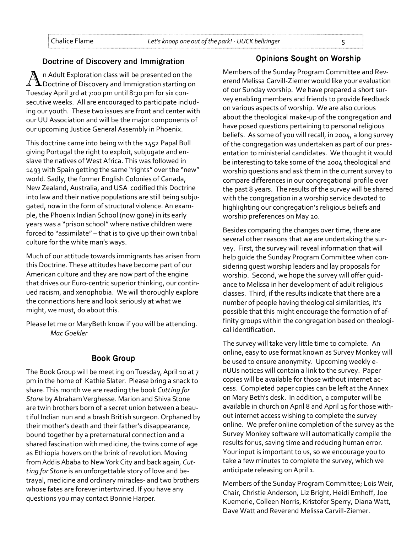#### Doctrine of Discovery and Immigration

A n Adult Exploration class will be presented on the Doctrine of Discovery and Immigration starting on Tuesday April 3rd at 7:00 pm until 8:30 pm for six consecutive weeks. All are encouraged to participate including our youth. These two issues are front and center with our UU Association and will be the major components of our upcoming Justice General Assembly in Phoenix.

This doctrine came into being with the 1452 Papal Bull giving Portugal the right to exploit, subjugate and enslave the natives of West Africa. This was followed in 1493 with Spain getting the same "rights" over the "new" world. Sadly, the former English Colonies of Canada, New Zealand, Australia, and USA codified this Doctrine into law and their native populations are still being subjugated, now in the form of structural violence. An example, the Phoenix Indian School (now gone) in its early years was a "prison school" where native children were forced to "assimilate" – that is to give up their own tribal culture for the white man's ways.

Much of our attitude towards immigrants has arisen from this Doctrine. These attitudes have become part of our American culture and they are now part of the engine that drives our Euro-centric superior thinking, our continued racism, and xenophobia. We will thoroughly explore the connections here and look seriously at what we might, we must, do about this.

Please let me or MaryBeth know if you will be attending. Mac Goekler

#### **Book Group**

The Book Group will be meeting on Tuesday, April 10 at 7 pm in the home of Kathie Slater. Please bring a snack to share. This month we are reading the book Cutting for Stone by Abraham Verghesse. Marion and Shiva Stone are twin brothers born of a secret union between a beautiful Indian nun and a brash British surgeon. Orphaned by their mother's death and their father's disappearance, bound together by a preternatural connection and a shared fascination with medicine, the twins come of age as Ethiopia hovers on the brink of revolution. Moving from Addis Ababa to New York City and back again, Cutting for Stone is an unforgettable story of love and betrayal, medicine and ordinary miracles- and two brothers whose fates are forever intertwined. If you have any questions you may contact Bonnie Harper.

#### **Opinions Sought on Worship**

Members of the Sunday Program Committee and Reverend Melissa Carvill-Ziemer would like your evaluation of our Sunday worship. We have prepared a short survey enabling members and friends to provide feedback on various aspects of worship. We are also curious about the theological make-up of the congregation and have posed questions pertaining to personal religious beliefs. As some of you will recall, in 2004, a long survey of the congregation was undertaken as part of our presentation to ministerial candidates. We thought it would be interesting to take some of the 2004 theological and worship questions and ask them in the current survey to compare differences in our congregational profile over the past 8 years. The results of the survey will be shared with the congregation in a worship service devoted to highlighting our congregation's religious beliefs and worship preferences on May 20.

Besides comparing the changes over time, there are several other reasons that we are undertaking the survey. First, the survey will reveal information that will help guide the Sunday Program Committee when considering guest worship leaders and lay proposals for worship. Second, we hope the survey will offer guidance to Melissa in her development of adult religious classes. Third, if the results indicate that there are a number of people having theological similarities, it's possible that this might encourage the formation of affinity groups within the congregation based on theological identification.

The survey will take very little time to complete. An online, easy to use format known as Survey Monkey will be used to ensure anonymity. Upcoming weekly enUUs notices will contain a link to the survey. Paper copies will be available for those without internet access. Completed paper copies can be left at the Annex on Mary Beth's desk. In addition, a computer will be available in church on April 8 and April 15 for those without internet access wishing to complete the survey online. We prefer online completion of the survey as the Survey Monkey software will automatically compile the results for us, saving time and reducing human error. Your input is important to us, so we encourage you to take a few minutes to complete the survey, which we anticipate releasing on April 1.

Members of the Sunday Program Committee; Lois Weir, Chair, Christie Anderson, Liz Bright, Heidi Emhoff, Joe Kuemerle, Colleen Norris, Kristofer Sperry, Diana Watt, Dave Watt and Reverend Melissa Carvill-Ziemer.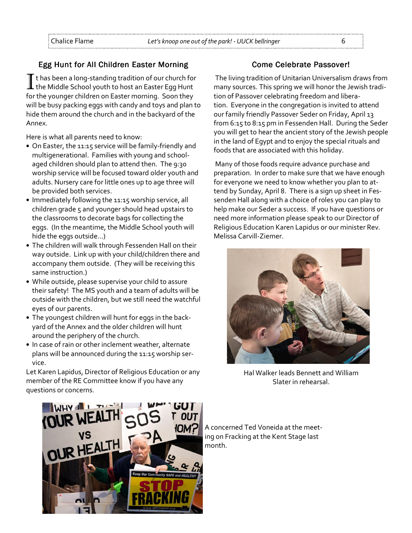# Egg Hunt for All Children Easter Morning

It has been a long-standing tradition of our church for<br>Ithe Middle School youth to host an Easter Egg Hunt for the younger children on Easter morning. Soon they will be busy packing eggs with candy and toys and plan to hide them around the church and in the backyard of the Annex.

Here is what all parents need to know:

- On Easter, the 11:15 service will be family-friendly and multigenerational. Families with young and schoolaged children should plan to attend then. The 9:30 worship service will be focused toward older youth and adults. Nursery care for little ones up to age three will be provided both services.
- Immediately following the 11:15 worship service, all children grade 5 and younger should head upstairs to the classrooms to decorate bags for collecting the eggs. (In the meantime, the Middle School youth will hide the eggs outside...)
- The children will walk through Fessenden Hall on their way outside. Link up with your child/children there and accompany them outside. (They will be receiving this same instruction.)
- While outside, please supervise your child to assure their safety! The MS youth and a team of adults will be outside with the children, but we still need the watchful eyes of our parents.
- The youngest children will hunt for eggs in the backyard of the Annex and the older children will hunt around the periphery of the church.
- In case of rain or other inclement weather, alternate plans will be announced during the 11:15 worship service.

Let Karen Lapidus, Director of Religious Education or any member of the RE Committee know if you have any questions or concerns.

# Come Celebrate Passover!

 The living tradition of Unitarian Universalism draws from many sources. This spring we will honor the Jewish tradition of Passover celebrating freedom and liberation. Everyone in the congregation is invited to attend our family friendly Passover Seder on Friday, April 13 from 6:15 to 8:15 pm in Fessenden Hall. During the Seder you will get to hear the ancient story of the Jewish people in the land of Egypt and to enjoy the special rituals and foods that are associated with this holiday.

 Many of those foods require advance purchase and preparation. In order to make sure that we have enough for everyone we need to know whether you plan to attend by Sunday, April 8. There is a sign up sheet in Fessenden Hall along with a choice of roles you can play to help make our Seder a success. If you have questions or need more information please speak to our Director of Religious Education Karen Lapidus or our minister Rev. Melissa Carvill-Ziemer.



Hal Walker leads Bennett and William Slater in rehearsal.



A concerned Ted Voneida at the meeting on Fracking at the Kent Stage last month.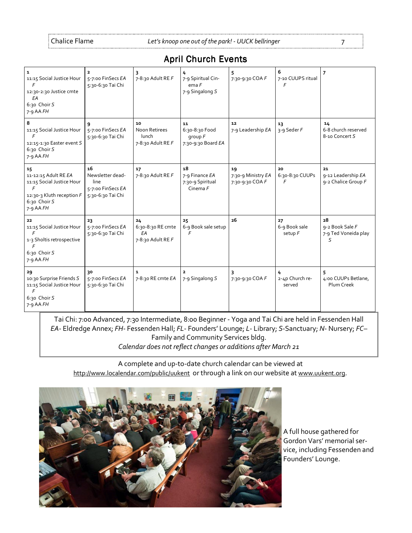|  | <b>April Church Events</b> |  |
|--|----------------------------|--|
|--|----------------------------|--|

| $\mathbf{1}$<br>11:15 Social Justice Hour<br>F<br>12:30-2:30 Justice cmte<br>EA<br>6:30 Choir S<br>$7 - 9$ AA $FH$                | $\overline{\mathbf{2}}$<br>5-7:00 FinSecs EA<br>5:30-6:30 Tai Chi        | 7-8:30 Adult RE F                                  | 4<br>7-9 Spiritual Cin-<br>emaF<br>7-9 Singalong S         | 5<br>7:30-9:30 COA F                        | 6<br>7-10 CUUPS ritual<br>F    | $\overline{7}$                                     |
|-----------------------------------------------------------------------------------------------------------------------------------|--------------------------------------------------------------------------|----------------------------------------------------|------------------------------------------------------------|---------------------------------------------|--------------------------------|----------------------------------------------------|
| 8<br>11:15 Social Justice Hour<br>$\mathsf{F}$<br>12:15-1:30 Easter event S<br>6:30 Choir S<br>$7-9$ AA $FH$                      | 9<br>5-7:00 FinSecs EA<br>5:30-6:30 Tai Chi                              | 10<br>Noon Retirees<br>lunch<br>7-8:30 Adult RE F  | 11<br>6:30-8:30 Food<br>$q$ roup $F$<br>7:30-9:30 Board EA | 12<br>7-9 Leadership EA                     | 13<br>3-9 Seder F              | 14<br>6-8 church reserved<br>8-10 Concert S        |
| 15<br>11-12:15 Adult RE EA<br>11:15 Social Justice Hour<br>$\mathsf{F}$<br>12:30-3 Kluth reception F<br>6:30 Choir S<br>7-9 AA FH | 16<br>Newsletter dead-<br>line<br>5-7:00 FinSecs EA<br>5:30-6:30 Tai Chi | 17<br>7-8:30 Adult RE F                            | 18<br>7-9 Finance EA<br>7:30-9 Spiritual<br>Cinema $F$     | 19<br>7:30-9 Ministry EA<br>7:30-9:30 COA F | 20<br>6:30-8:30 CUUPs<br>F     | 21<br>9-12 Leadership EA<br>9-2 Chalice Group F    |
| 22<br>11:15 Social Justice Hour<br>F<br>1-3 Sholtis retrospective<br>$\mathsf{F}$<br>6:30 Choir S<br>$7 - 9$ AA $FH$              | 23<br>5-7:00 FinSecs EA<br>5:30-6:30 Tai Chi                             | 24<br>6:30-8:30 RE cmte<br>EA<br>7-8:30 Adult RE F | 25<br>6-9 Book sale setup<br>F                             | 26                                          | 27<br>6-9 Book sale<br>setup F | 28<br>9-2 Book Sale F<br>7-9 Ted Voneida play<br>S |
| 29<br>10:30 Surprise Friends S<br>11:15 Social Justice Hour<br>F<br>6:30 Choir S<br>$7-9$ AA $FH$                                 | 30<br>5-7:00 FinSecs EA<br>5:30-6:30 Tai Chi                             | 1<br>7-8:30 RE cmte EA                             | $\mathbf{z}$<br>7-9 Singalong S                            | 7:30-9:30 COA F                             | 4<br>2-4p Church re-<br>served | 5<br>4:00 CUUPs Betlane,<br>Plum Creek             |

Tai Chi: 7:00 Advanced, 7:30 Intermediate, 8:00 Beginner - Yoga and Tai Chi are held in Fessenden Hall EA- Eldredge Annex; FH- Fessenden Hall; FL- Founders' Lounge; L- Library; S-Sanctuary; N- Nursery; FC– Family and Community Services bldg. Calendar does not reflect changes or additions after March 21

A complete and up-to-date church calendar can be viewed at http://www.localendar.com/public/uukent or through a link on our website at www.uukent.org.



A full house gathered for Gordon Vars' memorial service, including Fessenden and Founders' Lounge.